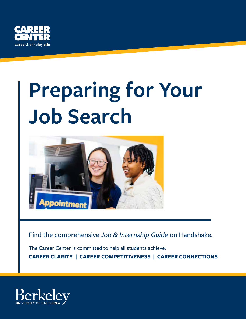

# **Preparing for Your Job Search**



Find the comprehensive *Job & Internship Guide* on Handshake.

The Career Center is committed to help all students achieve: **CAREER CLARITY | CAREER COMPETITIVENESS | CAREER CONNECTIONS**

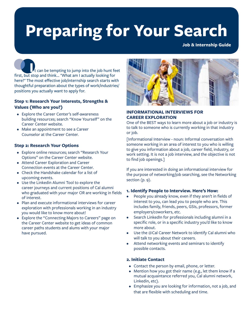# **Preparing for Your Search**

**Job & Internship Guide**

can be tempting to jump into the job hunt feet first, but stop and think... "What am I actually looking for **I** here?" The most effective job/internship search starts with thoughtful preparation about the types of work/industries/ positions you actually want to apply for.

# **Step 1: Research Your Interests, Strengths & Values (Who are you?)**

- Explore the Career Center's self-awareness building resources; search "Know Yourself" on the Career Center website.
- Make an appointment to see a Career Counselor at the Career Center.

# **Step 2: Research Your Options**

- Explore online resources; search "Research Your Options" on the Career Center website.
- Attend Career Exploration and Career Connection events at the Career Center.
- Check the Handshake calendar for a list of upcoming events.
- Use the Linkedin Alumni Tool to explore the career journeys and current positions of Cal alumni who graduated with your major OR are working in fields of interest.
- Plan and execute informational interviews for career exploration with professionals working in an industry you would like to know more about!
- Explore the "Connecting Majors to Careers" page on the Career Center website to get ideas of common career paths students and alums with your major have pursued.



# **INFORMATIONAL INTERVIEWS FOR CAREER EXPLORATION**

One of the BEST ways to learn more about a job or industry is to talk to someone who is currently working in that industry or job.

[Informational Interview - noun: Informal conversation with someone working in an area of interest to you who is willing to give you information about a job, career field, industry, or work setting. It is not a job interview, and the objective is not to find job openings.]

If you are interested in doing an informational interview for the purpose of networking/job searching, see the Networking section (p. 9).

# **1. Identify People to Interview. Here's How:**

- People you already know, even if they aren't in fields of interest to you, can lead you to people who are. This includes family, friends, peers, GSIs, professors, former employers/coworkers, etc.
- Search LinkedIn for professionals including alumni in a specific role, or in a specific industry you'd like to know more about.
- Use the @Cal Career Network to identify Cal alumni who will talk to you about their careers.
- Attend networking events and seminars to identify possible contacts.

# **2. Initiate Contact**

- Contact the person by email, phone, or letter.
- Mention how you got their name (e.g., let them know if a mutual acquaintance referred you, Cal alumni network, Linkedin, etc).
- Emphasize you are looking for information, not a job, and that are flexible with scheduling and time.